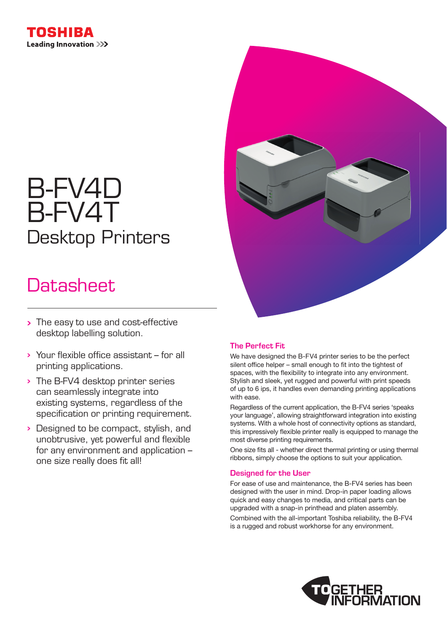

# B-FV4D B-FV4T Desktop Printers

# Datasheet.

- > The easy to use and cost-effective desktop labelling solution.
- Your flexible office assistant for all printing applications.
- The B-FV4 desktop printer series can seamlessly integrate into existing systems, regardless of the specification or printing requirement.
- **Designed to be compact, stylish, and** unobtrusive, yet powerful and flexible for any environment and application – one size really does fit all!



# The Perfect Fit

We have designed the B-FV4 printer series to be the perfect silent office helper – small enough to fit into the tightest of spaces, with the flexibility to integrate into any environment. Stylish and sleek, yet rugged and powerful with print speeds of up to 6 ips, it handles even demanding printing applications with ease.

Regardless of the current application, the B-FV4 series 'speaks your language', allowing straightforward integration into existing systems. With a whole host of connectivity options as standard, this impressively flexible printer really is equipped to manage the most diverse printing requirements.

One size fits all - whether direct thermal printing or using thermal ribbons, simply choose the options to suit your application.

### Designed for the User

For ease of use and maintenance, the B-FV4 series has been designed with the user in mind. Drop-in paper loading allows quick and easy changes to media, and critical parts can be upgraded with a snap-in printhead and platen assembly.

Combined with the all-important Toshiba reliability, the B-FV4 is a rugged and robust workhorse for any environment.